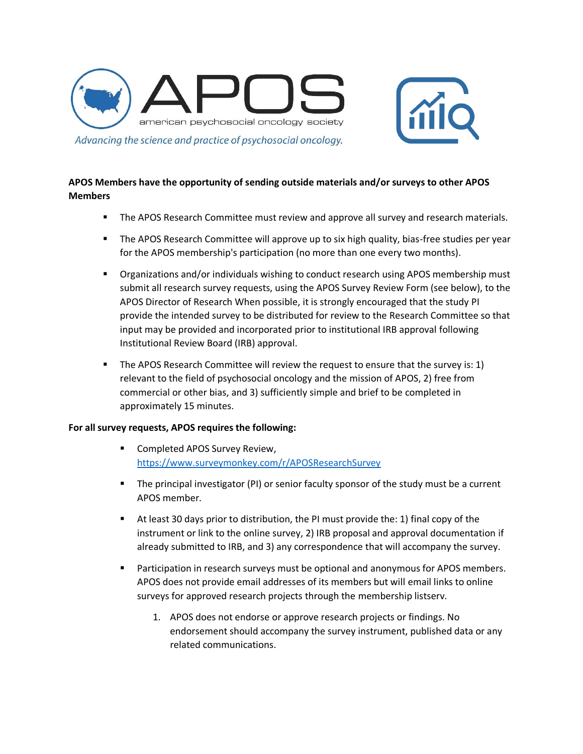



## **APOS Members have the opportunity of sending outside materials and/or surveys to other APOS Members**

- **The APOS Research Committee must review and approve all survey and research materials.**
- **The APOS Research Committee will approve up to six high quality, bias-free studies per year** for the APOS membership's participation (no more than one every two months).
- Organizations and/or individuals wishing to conduct research using APOS membership must submit all research survey requests, using the APOS Survey Review Form (see below), to the APOS Director of Research When possible, it is strongly encouraged that the study PI provide the intended survey to be distributed for review to the Research Committee so that input may be provided and incorporated prior to institutional IRB approval following Institutional Review Board (IRB) approval.
- **The APOS Research Committee will review the request to ensure that the survey is: 1)** relevant to the field of psychosocial oncology and the mission of APOS, 2) free from commercial or other bias, and 3) sufficiently simple and brief to be completed in approximately 15 minutes.

## **For all survey requests, APOS requires the following:**

- Completed APOS Survey Review, <https://www.surveymonkey.com/r/APOSResearchSurvey>
- The principal investigator (PI) or senior faculty sponsor of the study must be a current APOS member.
- $\blacksquare$  At least 30 days prior to distribution, the PI must provide the: 1) final copy of the instrument or link to the online survey, 2) IRB proposal and approval documentation if already submitted to IRB, and 3) any correspondence that will accompany the survey.
- **•** Participation in research surveys must be optional and anonymous for APOS members. APOS does not provide email addresses of its members but will email links to online surveys for approved research projects through the membership listserv.
	- 1. APOS does not endorse or approve research projects or findings. No endorsement should accompany the survey instrument, published data or any related communications.